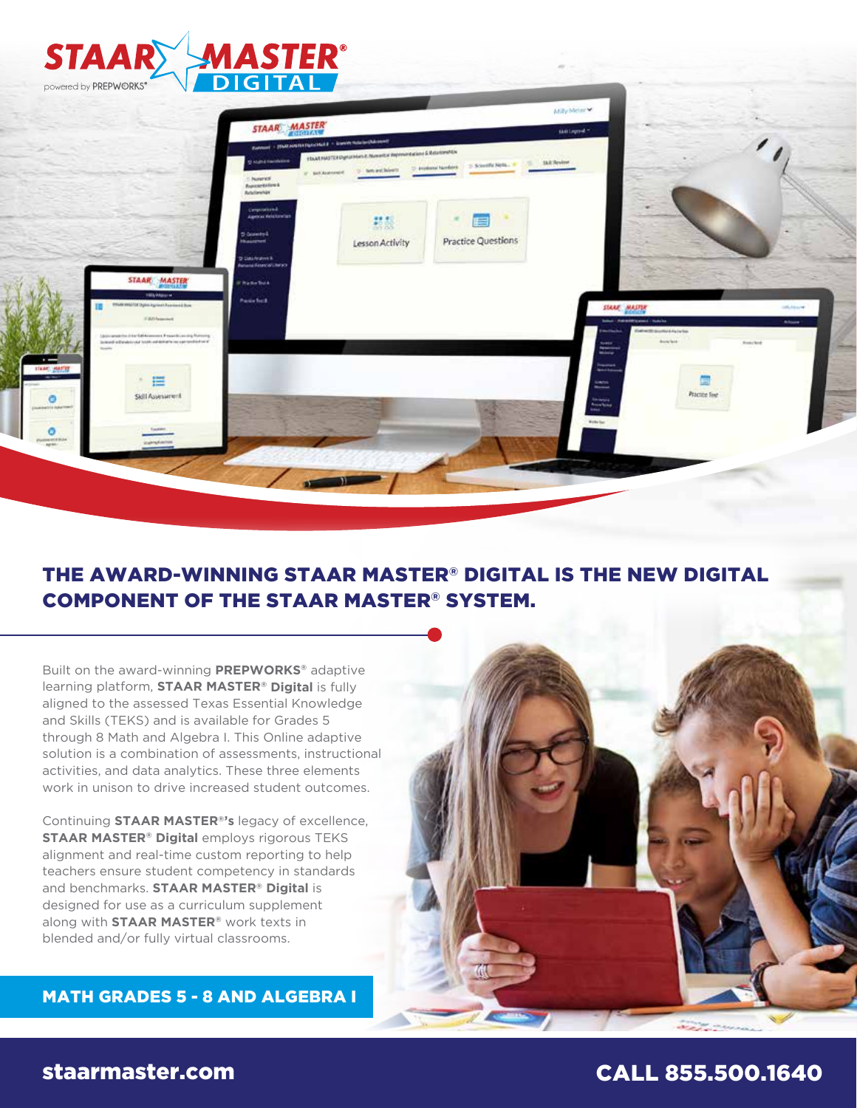

## THE AWARD-WINNING STAAR MASTER® DIGITAL IS THE NEW DIGITAL COMPONENT OF THE STAAR MASTER® SYSTEM.

Built on the award-winning **PREPWORKS®** adaptive learning platform, **STAAR MASTER® Digital** is fully aligned to the assessed Texas Essential Knowledge and Skills (TEKS) and is available for Grades 5 through 8 Math and Algebra I. This Online adaptive solution is a combination of assessments, instructional activities, and data analytics. These three elements work in unison to drive increased student outcomes.

Continuing **STAAR MASTER®'s** legacy of excellence, **STAAR MASTER® Digital** employs rigorous TEKS alignment and real-time custom reporting to help teachers ensure student competency in standards and benchmarks. **STAAR MASTER® Digital** is designed for use as a curriculum supplement along with **STAAR MASTER®** work texts in blended and/or fully virtual classrooms.

MATH GRADES 5 - 8 AND ALGEBRA I

# staarmaster.com CALL 855.500.1640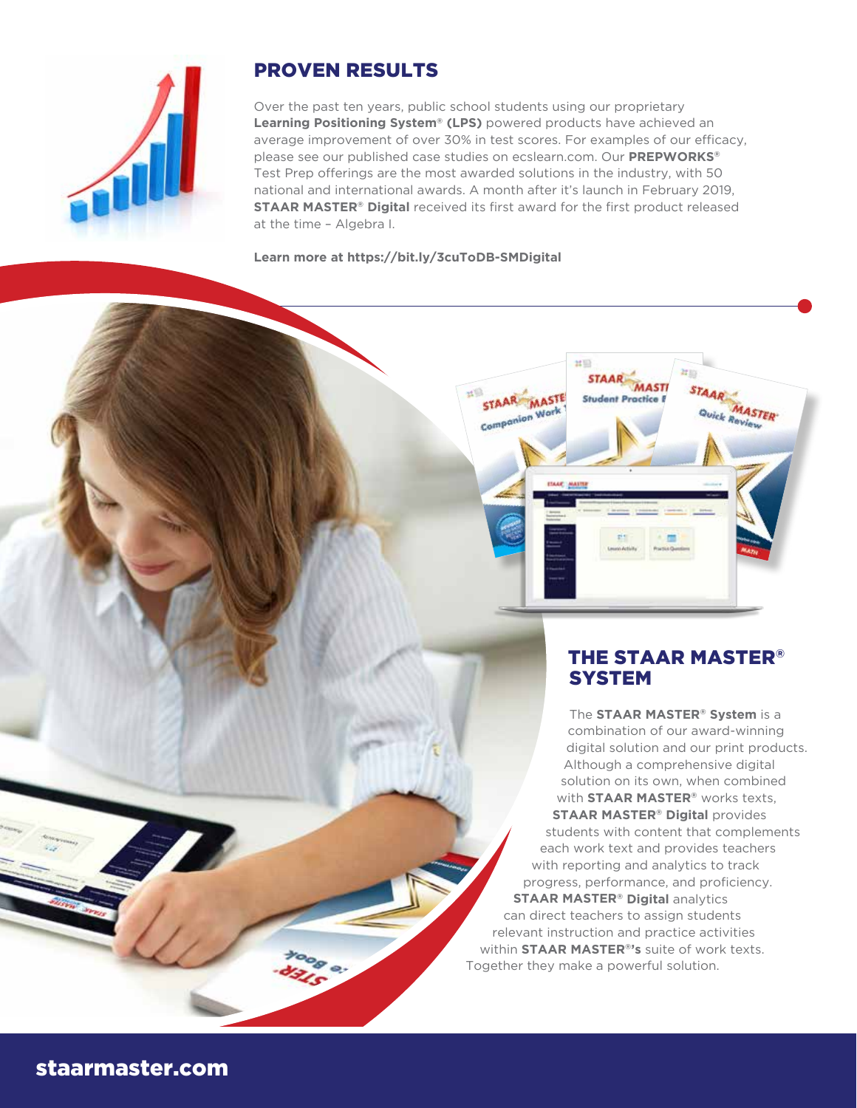

# PROVEN RESULTS

Over the past ten years, public school students using our proprietary **Learning Positioning System® (LPS)** powered products have achieved an average improvement of over 30% in test scores. For examples of our efficacy, please see our published case studies on ecslearn.com. Our **PREPWORKS®** Test Prep offerings are the most awarded solutions in the industry, with 50 national and international awards. A month after it's launch in February 2019, **STAAR MASTER® Digital** received its first award for the first product released at the time – Algebra I.

STAAR MASTE

**AAN MA** 

 $n \equiv$ 

**STAAR** 

Stude

**MASTI** 

nt Practice i

**STAAR** 

**MASTER** ick Review

**Learn more at https://bit.ly/3cuToDB-SMDigital**



The **STAAR MASTER® System** is a combination of our award-winning digital solution and our print products. Although a comprehensive digital solution on its own, when combined with **STAAR MASTER®** works texts, **STAAR MASTER® Digital** provides students with content that complements each work text and provides teachers with reporting and analytics to track progress, performance, and proficiency. **STAAR MASTER® Digital analytics** can direct teachers to assign students relevant instruction and practice activities within **STAAR MASTER®'s** suite of work texts. Together they make a powerful solution.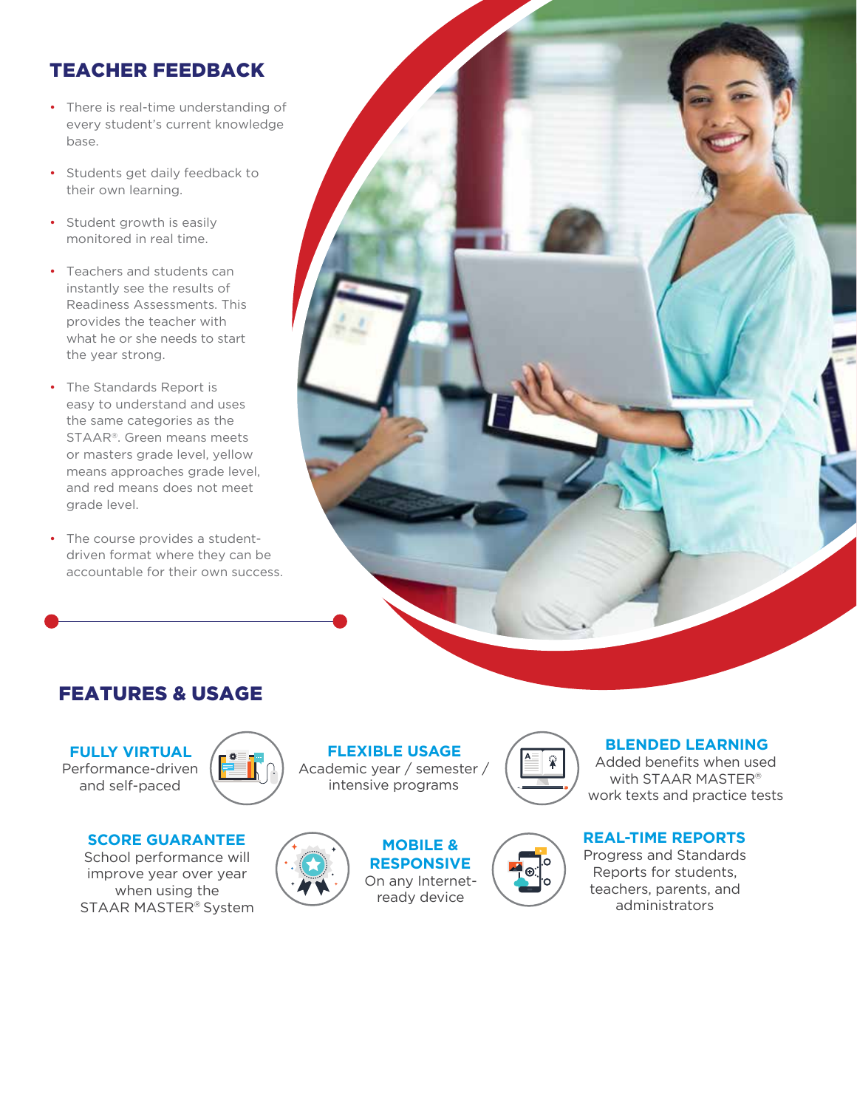# TEACHER FEEDBACK

- There is real-time understanding of every student's current knowledge base.
- Students get daily feedback to their own learning.
- Student growth is easily monitored in real time.
- Teachers and students can instantly see the results of Readiness Assessments. This provides the teacher with what he or she needs to start the year strong.
- The Standards Report is easy to understand and uses the same categories as the STAAR®. Green means meets or masters grade level, yellow means approaches grade level, and red means does not meet grade level.
- The course provides a studentdriven format where they can be accountable for their own success.



# **FEATURES & USAGE**

**FULLY VIRTUAL** Performance-driven and self-paced



**SCORE GUARANTEE**

School performance will improve year over year when using the STAAR MASTER® System





**RESPONSIVE** On any Internetready device

**MOBILE &**

**FLEXIBLE USAGE** Academic year / semester /



 $\ddot{\textbf{r}}$ 

#### **BLENDED LEARNING** Added benefits when used

with STAAR MASTER® work texts and practice tests

## **REAL-TIME REPORTS**

Progress and Standards Reports for students, teachers, parents, and administrators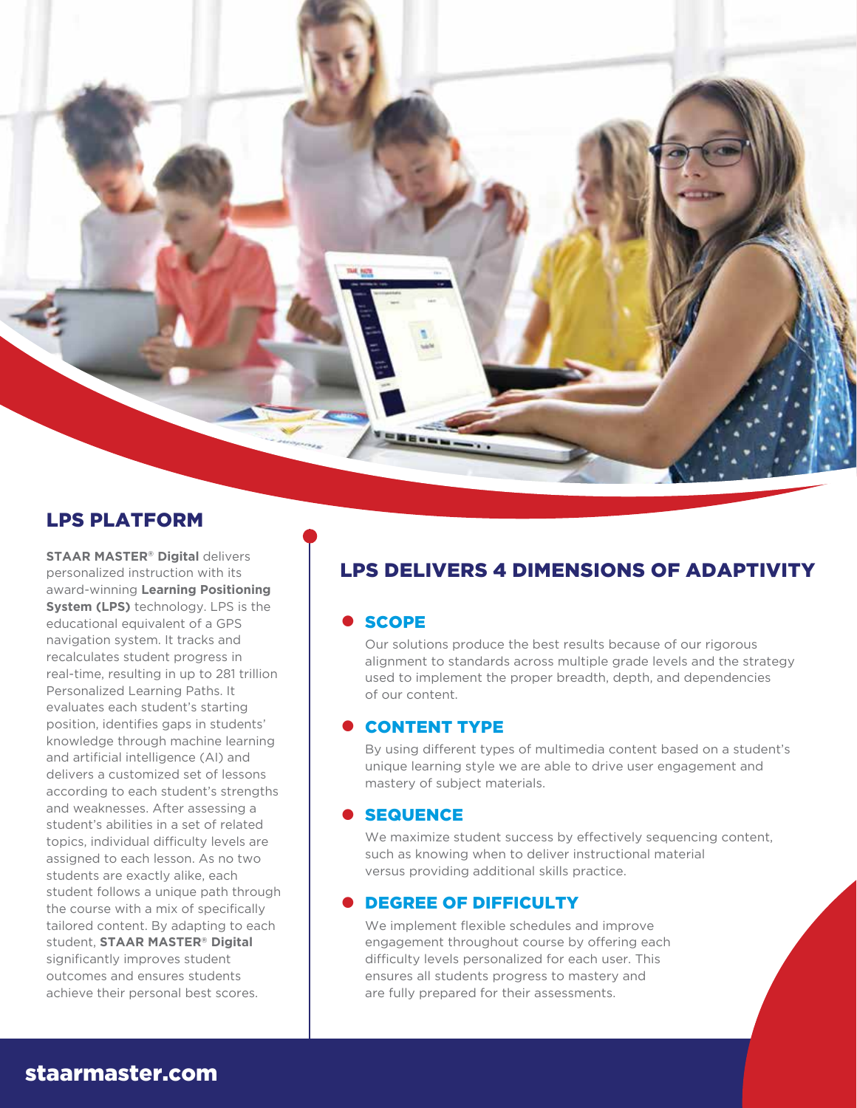

## LPS PLATFORM

**STAAR MASTER® Digital delivers** personalized instruction with its award-winning **Learning Positioning System (LPS)** technology. LPS is the educational equivalent of a GPS navigation system. It tracks and recalculates student progress in real-time, resulting in up to 281 trillion Personalized Learning Paths. It evaluates each student's starting position, identifies gaps in students' knowledge through machine learning and artificial intelligence (AI) and delivers a customized set of lessons according to each student's strengths and weaknesses. After assessing a student's abilities in a set of related topics, individual difficulty levels are assigned to each lesson. As no two students are exactly alike, each student follows a unique path through the course with a mix of specifically tailored content. By adapting to each student, **STAAR MASTER® Digital** significantly improves student outcomes and ensures students achieve their personal best scores.

# LPS DELIVERS 4 DIMENSIONS OF ADAPTIVITY

#### • SCOPE

Our solutions produce the best results because of our rigorous alignment to standards across multiple grade levels and the strategy used to implement the proper breadth, depth, and dependencies of our content.

#### • CONTENT TYPE

By using different types of multimedia content based on a student's unique learning style we are able to drive user engagement and mastery of subject materials.

#### **• SEQUENCE**

We maximize student success by effectively sequencing content, such as knowing when to deliver instructional material versus providing additional skills practice.

#### **• DEGREE OF DIFFICULTY**

We implement flexible schedules and improve engagement throughout course by offering each difficulty levels personalized for each user. This ensures all students progress to mastery and are fully prepared for their assessments.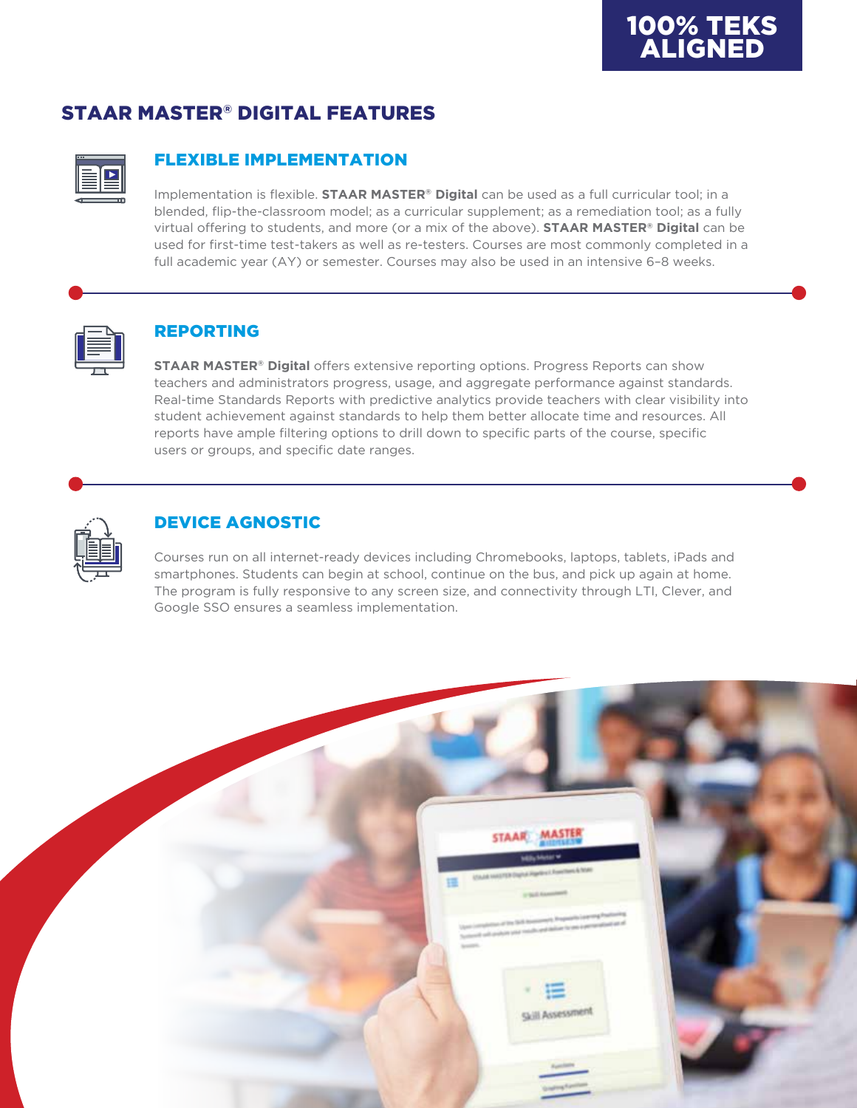# STAAR MASTER® DIGITAL FEATURES



## FLEXIBLE IMPLEMENTATION

Implementation is flexible. **STAAR MASTER® Digital** can be used as a full curricular tool; in a blended, flip-the-classroom model; as a curricular supplement; as a remediation tool; as a fully virtual offering to students, and more (or a mix of the above). **STAAR MASTER® Digital** can be used for first-time test-takers as well as re-testers. Courses are most commonly completed in a full academic year (AY) or semester. Courses may also be used in an intensive 6–8 weeks.



### REPORTING

**STAAR MASTER® Digital** offers extensive reporting options. Progress Reports can show teachers and administrators progress, usage, and aggregate performance against standards. Real-time Standards Reports with predictive analytics provide teachers with clear visibility into student achievement against standards to help them better allocate time and resources. All reports have ample filtering options to drill down to specific parts of the course, specific users or groups, and specific date ranges.



## DEVICE AGNOSTIC

Courses run on all internet-ready devices including Chromebooks, laptops, tablets, iPads and smartphones. Students can begin at school, continue on the bus, and pick up again at home. The program is fully responsive to any screen size, and connectivity through LTI, Clever, and Google SSO ensures a seamless implementation.